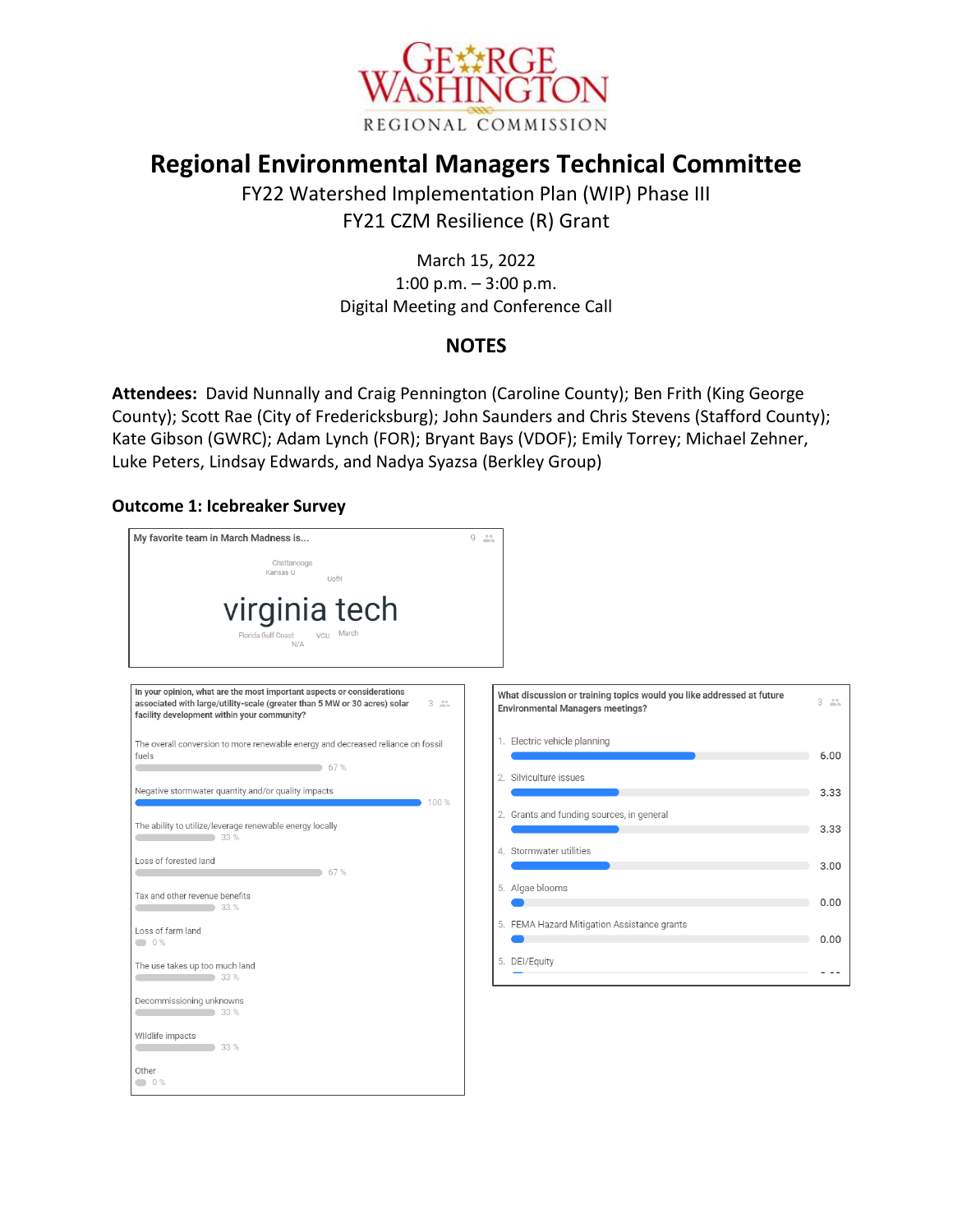

# **Regional Environmental Managers Technical Committee**

FY22 Watershed Implementation Plan (WIP) Phase III FY21 CZM Resilience (R) Grant

> March 15, 2022 1:00 p.m. – 3:00 p.m. Digital Meeting and Conference Call

# **NOTES**

**Attendees:** David Nunnally and Craig Pennington (Caroline County); Ben Frith (King George County); Scott Rae (City of Fredericksburg); John Saunders and Chris Stevens (Stafford County); Kate Gibson (GWRC); Adam Lynch (FOR); Bryant Bays (VDOF); Emily Torrey; Michael Zehner, Luke Peters, Lindsay Edwards, and Nadya Syazsa (Berkley Group)

#### **Outcome 1: Icebreaker Survey**

| My favorite team in March Madness is                                                                                                                                                                                      | $9 - 11$                                                                                                         |                     |
|---------------------------------------------------------------------------------------------------------------------------------------------------------------------------------------------------------------------------|------------------------------------------------------------------------------------------------------------------|---------------------|
| Chattanooga<br>Kansas U<br>UofR                                                                                                                                                                                           |                                                                                                                  |                     |
| virginia tech<br>March<br>Florida Gulf Coast<br>VCU<br>N/A                                                                                                                                                                |                                                                                                                  |                     |
| In your opinion, what are the most important aspects or considerations<br>associated with large/utility-scale (greater than 5 MW or 30 acres) solar<br>$3 \nightharpoonup$<br>facility development within your community? | What discussion or training topics would you like addressed at future<br><b>Environmental Managers meetings?</b> | $3 \nightharpoonup$ |
| The overall conversion to more renewable energy and decreased reliance on fossil<br>fuels<br>67%                                                                                                                          | 1. Electric vehicle planning<br>2. Silviculture issues                                                           | 6.00                |
| Negative stormwater quantity and/or quality impacts<br>100 %                                                                                                                                                              |                                                                                                                  | 3.33                |
| The ability to utilize/leverage renewable energy locally<br>$33\%$                                                                                                                                                        | 2. Grants and funding sources, in general                                                                        | 3.33                |
| Loss of forested land<br>67%                                                                                                                                                                                              | 4. Stormwater utilities                                                                                          | 3.00                |
| Tax and other revenue benefits<br>33 %                                                                                                                                                                                    | 5. Algae blooms                                                                                                  | 0.00                |
| Loss of farm land<br>0%                                                                                                                                                                                                   | 5. FEMA Hazard Mitigation Assistance grants                                                                      | 0.00                |
| The use takes up too much land<br>$33\%$                                                                                                                                                                                  | 5. DEI/Equity                                                                                                    |                     |
| Decommissioning unknowns<br>$\sim$ 33 %                                                                                                                                                                                   |                                                                                                                  |                     |
| WIldlife impacts<br>33%                                                                                                                                                                                                   |                                                                                                                  |                     |
| Other<br>$\bullet$ 0%                                                                                                                                                                                                     |                                                                                                                  |                     |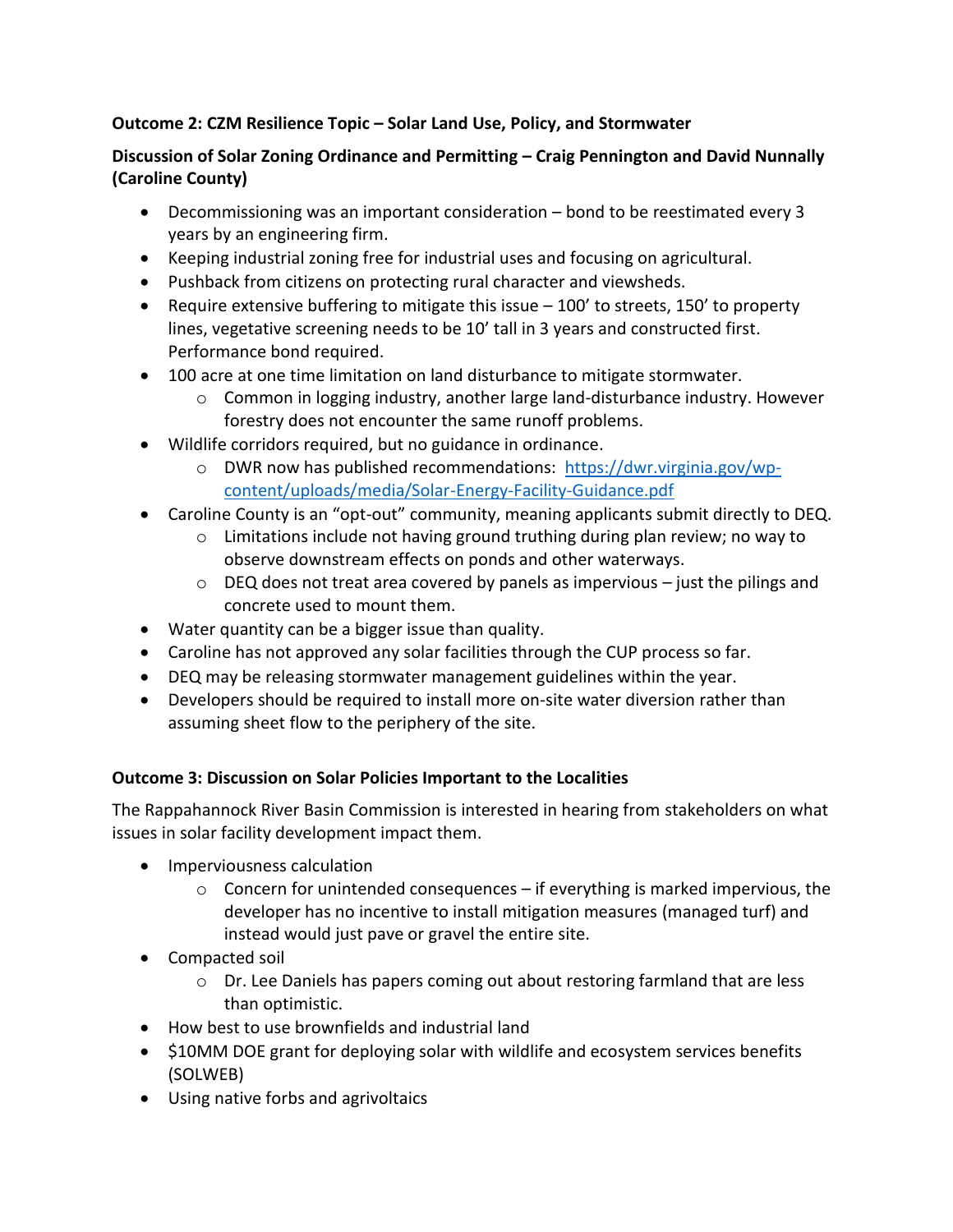## **Outcome 2: CZM Resilience Topic – Solar Land Use, Policy, and Stormwater**

## **Discussion of Solar Zoning Ordinance and Permitting – Craig Pennington and David Nunnally (Caroline County)**

- Decommissioning was an important consideration bond to be reestimated every 3 years by an engineering firm.
- Keeping industrial zoning free for industrial uses and focusing on agricultural.
- Pushback from citizens on protecting rural character and viewsheds.
- **•** Require extensive buffering to mitigate this issue  $-100'$  to streets, 150' to property lines, vegetative screening needs to be 10' tall in 3 years and constructed first. Performance bond required.
- 100 acre at one time limitation on land disturbance to mitigate stormwater.
	- $\circ$  Common in logging industry, another large land-disturbance industry. However forestry does not encounter the same runoff problems.
- Wildlife corridors required, but no guidance in ordinance.
	- $\circ$  DWR now has published recommendations: [https://dwr.virginia.gov/wp](https://dwr.virginia.gov/wp-content/uploads/media/Solar-Energy-Facility-Guidance.pdf)[content/uploads/media/Solar-Energy-Facility-Guidance.pdf](https://dwr.virginia.gov/wp-content/uploads/media/Solar-Energy-Facility-Guidance.pdf)
- Caroline County is an "opt-out" community, meaning applicants submit directly to DEQ.
	- $\circ$  Limitations include not having ground truthing during plan review; no way to observe downstream effects on ponds and other waterways.
	- $\circ$  DEQ does not treat area covered by panels as impervious just the pilings and concrete used to mount them.
- Water quantity can be a bigger issue than quality.
- Caroline has not approved any solar facilities through the CUP process so far.
- DEQ may be releasing stormwater management guidelines within the year.
- Developers should be required to install more on-site water diversion rather than assuming sheet flow to the periphery of the site.

## **Outcome 3: Discussion on Solar Policies Important to the Localities**

The Rappahannock River Basin Commission is interested in hearing from stakeholders on what issues in solar facility development impact them.

- Imperviousness calculation
	- $\circ$  Concern for unintended consequences if everything is marked impervious, the developer has no incentive to install mitigation measures (managed turf) and instead would just pave or gravel the entire site.
- Compacted soil
	- $\circ$  Dr. Lee Daniels has papers coming out about restoring farmland that are less than optimistic.
- How best to use brownfields and industrial land
- \$10MM DOE grant for deploying solar with wildlife and ecosystem services benefits (SOLWEB)
- Using native forbs and agrivoltaics